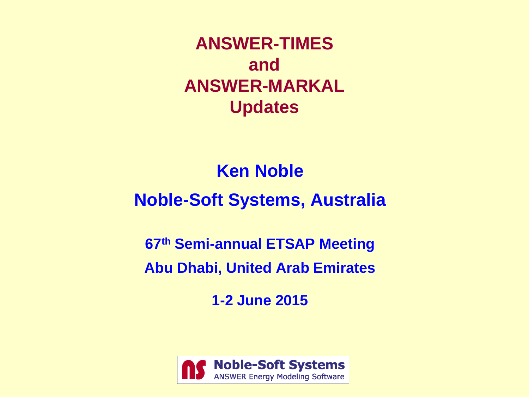**ANSWER-TIMES and ANSWER-MARKAL Updates**

## **Ken Noble**

## **Noble-Soft Systems, Australia**

**67th Semi-annual ETSAP Meeting**

**Abu Dhabi, United Arab Emirates**

**1-2 June 2015**

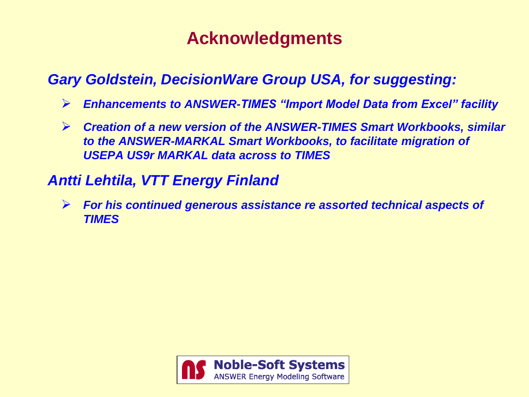## **Acknowledgments**

### *Gary Goldstein, DecisionWare Group USA, for suggesting:*

- *Enhancements to ANSWER-TIMES "Import Model Data from Excel" facility*
- *Creation of a new version of the ANSWER-TIMES Smart Workbooks, similar to the ANSWER-MARKAL Smart Workbooks, to facilitate migration of USEPA US9r MARKAL data across to TIMES*

### *Antti Lehtila, VTT Energy Finland*

 *For his continued generous assistance re assorted technical aspects of TIMES*

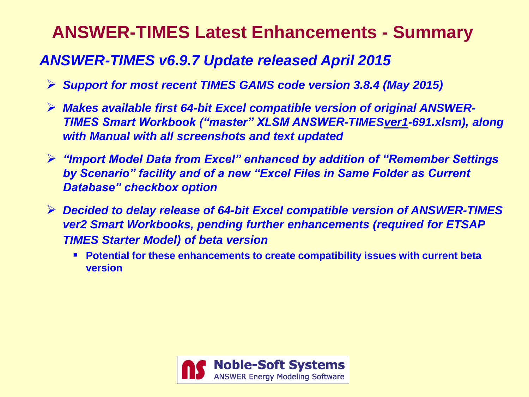# **ANSWER-TIMES Latest Enhancements - Summary**

## *ANSWER-TIMES v6.9.7 Update released April 2015*

- *Support for most recent TIMES GAMS code version 3.8.4 (May 2015)*
- *Makes available first 64-bit Excel compatible version of original ANSWER-TIMES Smart Workbook ("master" XLSM ANSWER-TIMESver1-691.xlsm), along with Manual with all screenshots and text updated*
- *"Import Model Data from Excel" enhanced by addition of "Remember Settings by Scenario" facility and of a new "Excel Files in Same Folder as Current Database" checkbox option*
- *Decided to delay release of 64-bit Excel compatible version of ANSWER-TIMES ver2 Smart Workbooks, pending further enhancements (required for ETSAP TIMES Starter Model) of beta version*
	- **Potential for these enhancements to create compatibility issues with current beta version**

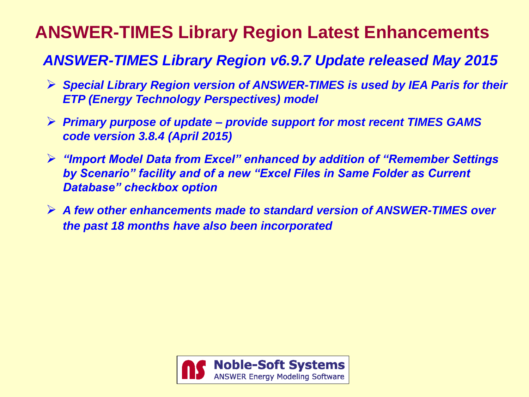# **ANSWER-TIMES Library Region Latest Enhancements**

## *ANSWER-TIMES Library Region v6.9.7 Update released May 2015*

- *Special Library Region version of ANSWER-TIMES is used by IEA Paris for their ETP (Energy Technology Perspectives) model*
- *Primary purpose of update – provide support for most recent TIMES GAMS code version 3.8.4 (April 2015)*
- *"Import Model Data from Excel" enhanced by addition of "Remember Settings by Scenario" facility and of a new "Excel Files in Same Folder as Current Database" checkbox option*
- *A few other enhancements made to standard version of ANSWER-TIMES over the past 18 months have also been incorporated*

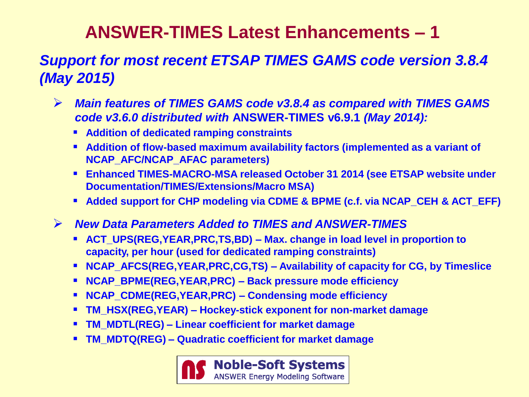# **ANSWER-TIMES Latest Enhancements – 1**

## *Support for most recent ETSAP TIMES GAMS code version 3.8.4 (May 2015)*

- *Main features of TIMES GAMS code v3.8.4 as compared with TIMES GAMS code v3.6.0 distributed with* **ANSWER-TIMES v6.9.1** *(May 2014):*
	- **Addition of dedicated ramping constraints**
	- **Addition of flow-based maximum availability factors (implemented as a variant of NCAP\_AFC/NCAP\_AFAC parameters)**
	- **Enhanced TIMES-MACRO-MSA released October 31 2014 (see ETSAP website under Documentation/TIMES/Extensions/Macro MSA)**
	- **Added support for CHP modeling via CDME & BPME (c.f. via NCAP CEH & ACT EFF)**
- *New Data Parameters Added to TIMES and ANSWER-TIMES*
	- **ACT\_UPS(REG,YEAR,PRC,TS,BD) – Max. change in load level in proportion to capacity, per hour (used for dedicated ramping constraints)**
	- **NCAP\_AFCS(REG,YEAR,PRC,CG,TS) – Availability of capacity for CG, by Timeslice**
	- **NCAP\_BPME(REG,YEAR,PRC) – Back pressure mode efficiency**
	- **NCAP\_CDME(REG,YEAR,PRC) – Condensing mode efficiency**
	- **TM\_HSX(REG,YEAR) – Hockey-stick exponent for non-market damage**
	- **TM\_MDTL(REG) – Linear coefficient for market damage**
	- **TM\_MDTQ(REG) – Quadratic coefficient for market damage**

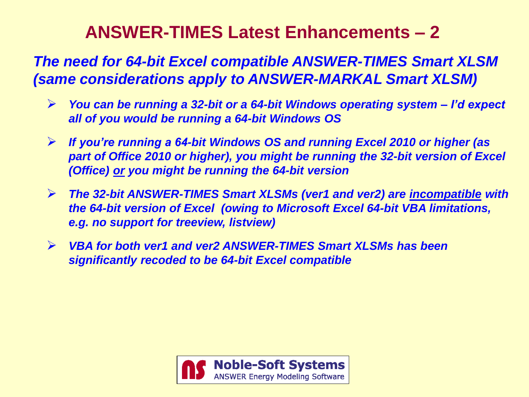# **ANSWER-TIMES Latest Enhancements – 2**

*The need for 64-bit Excel compatible ANSWER-TIMES Smart XLSM (same considerations apply to ANSWER-MARKAL Smart XLSM)*

- *You can be running a 32-bit or a 64-bit Windows operating system – I'd expect all of you would be running a 64-bit Windows OS*
- *If you're running a 64-bit Windows OS and running Excel 2010 or higher (as part of Office 2010 or higher), you might be running the 32-bit version of Excel (Office) or you might be running the 64-bit version*
- *The 32-bit ANSWER-TIMES Smart XLSMs (ver1 and ver2) are incompatible with the 64-bit version of Excel (owing to Microsoft Excel 64-bit VBA limitations, e.g. no support for treeview, listview)*
- *VBA for both ver1 and ver2 ANSWER-TIMES Smart XLSMs has been significantly recoded to be 64-bit Excel compatible*

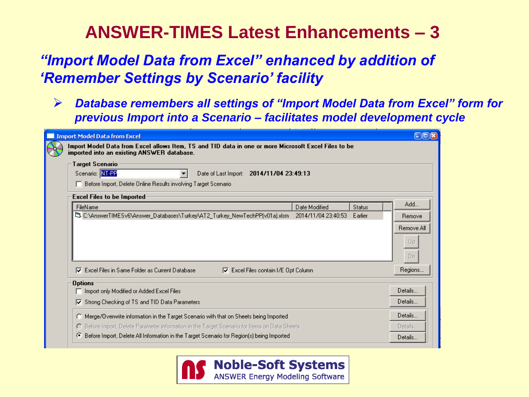## **ANSWER-TIMES Latest Enhancements – 3**

## *"Import Model Data from Excel" enhanced by addition of 'Remember Settings by Scenario' facility*

 *Database remembers all settings of "Import Model Data from Excel" form for previous Import into a Scenario – facilitates model development cycle*

| imported into an existing ANSWER database.                                                                                                        |                     |         |                                   |
|---------------------------------------------------------------------------------------------------------------------------------------------------|---------------------|---------|-----------------------------------|
| Target Scenario:<br>Scenario: NT-PP<br>Date of Last Import: 2014/11/04 23:49:13<br>Before Import, Delete Online Results involving Target Scenario |                     |         |                                   |
| <b>Excel Files to be Imported</b><br>FileName                                                                                                     | Date Modified       | Status  | Add                               |
| 鸟 C:\AnswerTIMESv6\Answer_Databases\Turkey\AT2_Turkey_NewTechPP(v01a).xlsm_                                                                       | 2014/11/04 23:40:53 | Earlier | Remove                            |
|                                                                                                                                                   |                     |         |                                   |
|                                                                                                                                                   |                     |         |                                   |
|                                                                                                                                                   |                     |         |                                   |
| Excel Files in Same Folder as Current Database<br>$\nabla$ Excel Files contain I/E Opt Column<br>M.                                               |                     |         | Remove All<br>Up<br>Dn<br>Regions |
| <b>Options</b><br>□ Import only Modified or Added Excel Files                                                                                     |                     |         |                                   |
| Strong Checking of TS and TID Data Parameters<br>⊽                                                                                                |                     |         |                                   |
| Merge/Overwrite information in the Target Scenario with that on Sheets being Imported<br>o                                                        |                     |         | Details<br>Details<br>Details     |

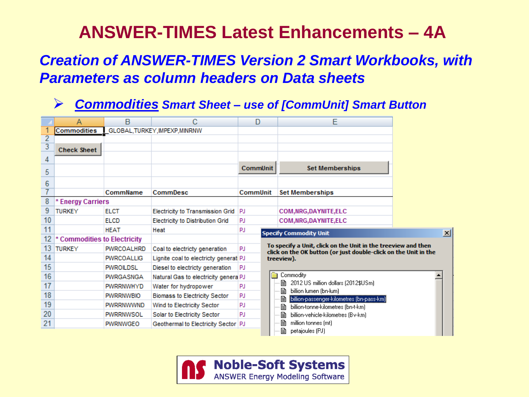# **ANSWER-TIMES Latest Enhancements – 4A**

### *Creation of ANSWER-TIMES Version 2 Smart Workbooks, with Parameters as column headers on Data sheets*

#### *Commodities Smart Sheet – use of [CommUnit] Smart Button*

|                | А                            | в                              | С                                       |                 | Е                                                                                                                                |   |
|----------------|------------------------------|--------------------------------|-----------------------------------------|-----------------|----------------------------------------------------------------------------------------------------------------------------------|---|
|                | Commodities                  | GLOBAL, TURKEY, IMPEXP, MINRNW |                                         |                 |                                                                                                                                  |   |
| $\overline{2}$ |                              |                                |                                         |                 |                                                                                                                                  |   |
| $\overline{3}$ | <b>Check Sheet</b>           |                                |                                         |                 |                                                                                                                                  |   |
| 4              |                              |                                |                                         |                 |                                                                                                                                  |   |
| 5              |                              |                                |                                         | <b>CommUnit</b> | <b>Set Memberships</b>                                                                                                           |   |
| 6              |                              |                                |                                         |                 |                                                                                                                                  |   |
| 7              |                              | CommName                       | CommDesc                                | <b>CommUnit</b> | <b>Set Memberships</b>                                                                                                           |   |
| 8              | * Energy Carriers            |                                |                                         |                 |                                                                                                                                  |   |
| 9              | <b>TURKEY</b>                | <b>ELCT</b>                    | <b>Electricity to Transmission Grid</b> | PJ              | <b>COM, NRG, DAYNITE, ELC</b>                                                                                                    |   |
| 10             |                              | <b>ELCD</b>                    | <b>Electricity to Distribution Grid</b> | <b>PJ</b>       | <b>COM.NRG.DAYNITE.ELC</b>                                                                                                       |   |
| 11             |                              | <b>HEAT</b>                    | Heat                                    | PJ              | <b>Specify Commodity Unit</b>                                                                                                    | ⊠ |
| 12             | * Commodities to Electricity |                                |                                         |                 |                                                                                                                                  |   |
| 13             | <b>TURKEY</b>                | PWRCOALHRD                     | Coal to electricty generation           | <b>PJ</b>       | To specify a Unit, click on the Unit in the treeview and then<br>click on the OK button (or just double-click on the Unit in the |   |
| 14             |                              | <b>PWRCOALLIG</b>              | Lignite coal to electricty generati PJ  |                 | treeview).                                                                                                                       |   |
| 15             |                              | <b>PWROILDSL</b>               | Diesel to electricty generation         | PJ              |                                                                                                                                  |   |
| 16             |                              | <b>PWRGASNGA</b>               | Natural Gas to electricity genera PJ    |                 | Commodity                                                                                                                        |   |
| 17             |                              | <b>PWRRNWHYD</b>               | Water for hydropower                    | <b>PJ</b>       | ■ 2012 US million dollars (2012\$USm)                                                                                            |   |
| 18             |                              | <b>PWRRNWBIO</b>               | <b>Biomass to Electricity Sector</b>    | <b>PJ</b>       | billion lumen (bn-lum)<br>昏<br>[billion-passenger-kilometres (bn-pass-km)]<br>B                                                  |   |
| 19             |                              | <b>PWRRNWWND</b>               | Wind to Electricity Sector              | PJ              | billion-tonne-kilometres (bn-t-km)<br>B                                                                                          |   |
| 20             |                              | <b>PWRRNWSOL</b>               | Solar to Electricity Sector             | PJ              | B<br>billion-vehicle-kilometres (Bv-km)                                                                                          |   |
| 21             |                              | <b>PWRNWGEO</b>                | Geothermal to Electricity Sector   PJ   |                 | B<br>million tonnes (mt)                                                                                                         |   |
|                |                              |                                |                                         |                 | b<br>petajoules (PJ)                                                                                                             |   |

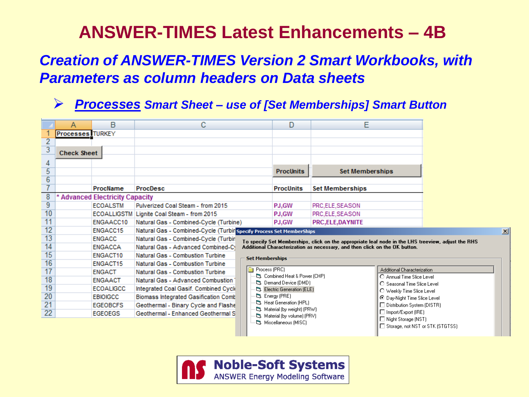## **ANSWER-TIMES Latest Enhancements – 4B**

### *Creation of ANSWER-TIMES Version 2 Smart Workbooks, with Parameters as column headers on Data sheets*

#### *Processes Smart Sheet – use of [Set Memberships] Smart Button*

|                 | А                                                     | B                                    | С                                                                    |                                                           | E<br>D                                                                                             |                        |                                                          |                            |  |  |  |
|-----------------|-------------------------------------------------------|--------------------------------------|----------------------------------------------------------------------|-----------------------------------------------------------|----------------------------------------------------------------------------------------------------|------------------------|----------------------------------------------------------|----------------------------|--|--|--|
|                 | <b>Processes</b> TURKEY                               |                                      |                                                                      |                                                           |                                                                                                    |                        |                                                          |                            |  |  |  |
| $\overline{2}$  |                                                       |                                      |                                                                      |                                                           |                                                                                                    |                        |                                                          |                            |  |  |  |
| $\overline{3}$  | <b>Check Sheet</b>                                    |                                      |                                                                      |                                                           |                                                                                                    |                        |                                                          |                            |  |  |  |
| 4               |                                                       |                                      |                                                                      |                                                           |                                                                                                    |                        |                                                          |                            |  |  |  |
| 5               |                                                       |                                      |                                                                      |                                                           | <b>ProcUnits</b>                                                                                   | <b>Set Memberships</b> |                                                          |                            |  |  |  |
| $\overline{6}$  |                                                       |                                      |                                                                      |                                                           |                                                                                                    |                        |                                                          |                            |  |  |  |
| $\overline{7}$  |                                                       | ProcName                             | <b>ProcDesc</b>                                                      |                                                           | <b>ProcUnits</b>                                                                                   | <b>Set Memberships</b> |                                                          |                            |  |  |  |
| 8               |                                                       | <b>Advanced Electricity Capacity</b> |                                                                      |                                                           |                                                                                                    |                        |                                                          |                            |  |  |  |
| 9               |                                                       | <b>ECOALSTM</b>                      | Pulverized Coal Steam - from 2015                                    |                                                           | PJ,GW                                                                                              | PRC,ELE,SEASON         |                                                          |                            |  |  |  |
| 10              |                                                       | <b>ECOALLIGSTM</b>                   | Lignite Coal Steam - from 2015                                       |                                                           | PJ,GW                                                                                              | PRC,ELE,SEASON         |                                                          |                            |  |  |  |
| $\overline{11}$ |                                                       | ENGAACC10                            | Natural Gas - Combined-Cycle (Turbine)                               |                                                           | <b>PJ.GW</b>                                                                                       | <b>PRC,ELE,DAYNITE</b> |                                                          |                            |  |  |  |
| 12              |                                                       | ENGACC15                             | Natural Gas - Combined-Cycle (Turbin Specify Process Set MemberShips |                                                           |                                                                                                    |                        |                                                          |                            |  |  |  |
| 13              | <b>ENGACC</b><br>Natural Gas - Combined-Cycle (Turbin |                                      |                                                                      |                                                           | To specify Set Memberships, click on the appropriate leaf node in the LHS treeview, adjust the RHS |                        |                                                          |                            |  |  |  |
| $\overline{14}$ | <b>ENGACCA</b><br>Natural Gas - Advanced Combined-Cy  |                                      |                                                                      |                                                           | Additional Characterization as necessary, and then click on the OK button.                         |                        |                                                          |                            |  |  |  |
| $\overline{15}$ | ENGACT10<br>Natural Gas - Combustion Turbine          |                                      | <b>Set Memberships</b>                                               |                                                           |                                                                                                    |                        |                                                          |                            |  |  |  |
| 16              |                                                       | <b>ENGACT15</b>                      | Natural Gas - Combustion Turbine                                     |                                                           |                                                                                                    |                        |                                                          |                            |  |  |  |
| 17              |                                                       | <b>ENGACT</b>                        | Natural Gas - Combustion Turbine                                     |                                                           | Process (PRC)                                                                                      |                        | Additional Characterization                              |                            |  |  |  |
| 18              |                                                       | <b>ENGAACT</b>                       | Natural Gas - Advanced Combustion                                    |                                                           | C3. Combined Heat & Power (CHP)<br>CJ. Demand Device (DMD)                                         |                        | C Annual Time Slice Level<br>C Seasonal Time Slice Level |                            |  |  |  |
| 19              |                                                       | <b>ECOALIGCC</b>                     | Integrated Coal Gasif. Combined Cyck                                 |                                                           | Electric Generation (ELE)                                                                          |                        | O Weekly Time Slice Level                                |                            |  |  |  |
| 20              |                                                       | <b>EBIOIGCC</b>                      | <b>Biomass Integrated Gasification Comb</b>                          | C3. Energy (PRE)<br><sup>[</sup> 3. Heat Generation (HPL) |                                                                                                    |                        | ⊙ Day-Night Time Slice Level                             |                            |  |  |  |
| 21              |                                                       | <b>EGEOBCFS</b>                      | Geothermal - Binary Cycle and Flashe                                 |                                                           |                                                                                                    |                        | □ Distribution System (DISTR)                            |                            |  |  |  |
| 22              |                                                       | <b>EGEOEGS</b>                       | Geothermal - Enhanced Geothermal S                                   |                                                           | [3]. Material (by weight) (PRW)<br>Naterial (by volume) (PRV)                                      |                        |                                                          | $\Box$ Import/Export (IRE) |  |  |  |
|                 |                                                       |                                      |                                                                      | Night Storage (NST)<br>L3. Miscellaneous (MISC)           |                                                                                                    |                        |                                                          |                            |  |  |  |
|                 |                                                       |                                      |                                                                      |                                                           |                                                                                                    |                        | □ Storage, not NST or STK (STGTSS)                       |                            |  |  |  |

 $\vert x \vert$ 

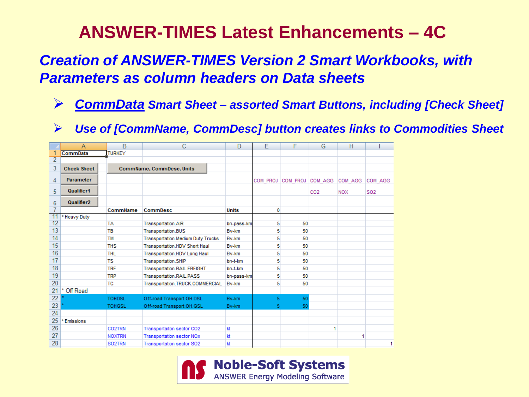## **ANSWER-TIMES Latest Enhancements – 4C**

## *Creation of ANSWER-TIMES Version 2 Smart Workbooks, with Parameters as column headers on Data sheets*

- *CommData Smart Sheet – assorted Smart Buttons, including [Check Sheet]*
- *Use of [CommName, CommDesc] button creates links to Commodities Sheet*

|                | А                      | B             | С                                        | D            | Е        | F        | G               | н          |                 |
|----------------|------------------------|---------------|------------------------------------------|--------------|----------|----------|-----------------|------------|-----------------|
|                | <b>CommData</b>        | <b>TURKEY</b> |                                          |              |          |          |                 |            |                 |
| $\overline{2}$ |                        |               |                                          |              |          |          |                 |            |                 |
| 3              | <b>Check Sheet</b>     |               | CommName, CommDesc, Units                |              |          |          |                 |            |                 |
| 4              | Parameter              |               |                                          |              | COM PROJ | COM PROJ | COM AGG         | COM AGG    | COM AGG         |
| 5              | Qualifier1             |               |                                          |              |          |          | CO <sub>2</sub> | <b>NOX</b> | S <sub>02</sub> |
| 6              | Qualifier <sub>2</sub> |               |                                          |              |          |          |                 |            |                 |
|                |                        | CommName      | <b>CommDesc</b>                          | <b>Units</b> | 0        |          |                 |            |                 |
| 11             | * Heavy Duty           |               |                                          |              |          |          |                 |            |                 |
| 12             |                        | <b>TA</b>     | <b>Transportation.AIR</b>                | bn-pass-km   | 5        | 50       |                 |            |                 |
| 13             |                        | <b>TB</b>     | <b>Transportation.BUS</b>                | Bv-km        | 5        | 50       |                 |            |                 |
| 14             |                        | <b>TM</b>     | <b>Transportation.Medium Duty Trucks</b> | By-km        | 5        | 50       |                 |            |                 |
| 15             |                        | <b>THS</b>    | Transportation.HDV Short Haul            | By-km        | 5        | 50       |                 |            |                 |
| 16             |                        | <b>THL</b>    | <b>Transportation.HDV Long Haul</b>      | By-km        | 5        | 50       |                 |            |                 |
| 17             |                        | TS            | <b>Transportation.SHIP</b>               | bn-t-km      | 5        | 50       |                 |            |                 |
| 18             |                        | <b>TRF</b>    | Transportation.RAIL.FREIGHT              | bn-t-km      | 5        | 50       |                 |            |                 |
| 19             |                        | <b>TRP</b>    | Transportation.RAIL.PASS                 | bn-pass-km   | 5        | 50       |                 |            |                 |
| 20             |                        | ТC            | Transportation.TRUCK.COMMERCIAL          | By-km        | 5        | 50       |                 |            |                 |
| 21             | *<br>Off Road          |               |                                          |              |          |          |                 |            |                 |
| 22             |                        | <b>TOHDSL</b> | Off-road Transport.OH.DSL                | Bv-km        | 5.       | 50       |                 |            |                 |
| 23             |                        | <b>TOHGSL</b> | Off-road Transport.OH.GSL                | Bv-km        | 5.       | 50       |                 |            |                 |
| 24             |                        |               |                                          |              |          |          |                 |            |                 |
| 25             | * Emissions            |               |                                          |              |          |          |                 |            |                 |
| 26             |                        | CO2TRN        | Transportaiton sector CO2                | kt           |          |          | 1               |            |                 |
| 27             |                        | <b>NOXTRN</b> | <b>Transportation sector NOx</b>         | kt           |          |          |                 | 1          |                 |
| 28             |                        | SO2TRN        | <b>Transportation sector SO2</b>         | kt           |          |          |                 |            |                 |

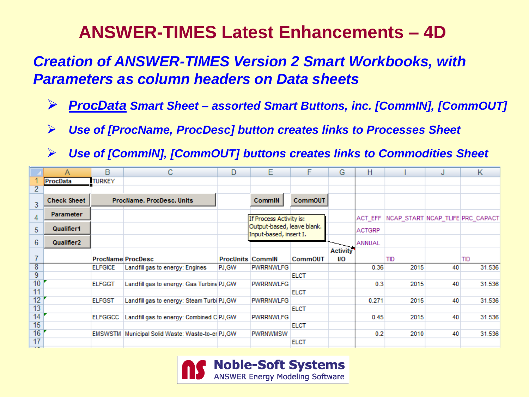# **ANSWER-TIMES Latest Enhancements – 4D**

## *Creation of ANSWER-TIMES Version 2 Smart Workbooks, with Parameters as column headers on Data sheets*

- *ProcData Smart Sheet – assorted Smart Buttons, inc. [CommIN], [CommOUT]*
- *Use of [ProcName, ProcDesc] button creates links to Processes Sheet*
- *Use of [CommIN], [CommOUT] buttons creates links to Commodities Sheet*

|                                | A                  | в                         | С                                                 | D                       | Е                                                    | F              | G                      | H             |                                                | J  | К      |
|--------------------------------|--------------------|---------------------------|---------------------------------------------------|-------------------------|------------------------------------------------------|----------------|------------------------|---------------|------------------------------------------------|----|--------|
|                                | ProcData           | <b>TURKEY</b>             |                                                   |                         |                                                      |                |                        |               |                                                |    |        |
| 2                              |                    |                           |                                                   |                         |                                                      |                |                        |               |                                                |    |        |
| 3                              | <b>Check Sheet</b> | ProcName, ProcDesc, Units |                                                   |                         | <b>CommIN</b>                                        | <b>CommOUT</b> |                        |               |                                                |    |        |
| 4                              | <b>Parameter</b>   |                           |                                                   |                         | If Process Activity is:                              |                |                        |               | ACT_EFF   NCAP_START   NCAP_TLIFE   PRC_CAPACT |    |        |
| 5                              | Qualifier1         |                           |                                                   |                         | Output-based, leave blank.<br>Input-based, insert I. |                |                        | <b>ACTGRP</b> |                                                |    |        |
| 6                              | <b>Qualifier2</b>  |                           |                                                   |                         |                                                      |                |                        | ANNUAL        |                                                |    |        |
|                                |                    |                           | <b>ProcName ProcDesc</b>                          | <b>ProcUnits CommIN</b> |                                                      | <b>CommOUT</b> | <b>Activity</b><br>I/O |               | TID                                            |    | TID    |
| 8                              |                    | <b>ELFGICE</b>            | Landfill gas to energy: Engines                   | PJ.GW                   | <b>PWRRNWLFG</b>                                     |                |                        | 0.36          | 2015                                           | 40 | 31.536 |
| $\overline{9}$                 |                    |                           |                                                   |                         |                                                      | <b>ELCT</b>    |                        |               |                                                |    |        |
| 10                             |                    | <b>ELFGGT</b>             | Landfill gas to energy: Gas Turbine PJ, GW        |                         | <b>PWRRNWLFG</b>                                     |                |                        | 0.3           | 2015                                           | 40 | 31.536 |
| 11                             |                    |                           |                                                   |                         |                                                      | <b>ELCT</b>    |                        |               |                                                |    |        |
| 12                             |                    | <b>ELFGST</b>             | Landfill gas to energy: Steam Turbi PJ, GW        |                         | <b>PWRRNWLFG</b>                                     |                |                        | 0.271         | 2015                                           | 40 | 31.536 |
| 13                             |                    |                           |                                                   |                         |                                                      | <b>ELCT</b>    |                        |               |                                                |    |        |
| 14                             |                    | <b>ELFGGCC</b>            | Landfill gas to energy: Combined C PJ, GW         |                         | <b>PWRRNWLFG</b>                                     |                |                        | 0.45          | 2015                                           | 40 | 31.536 |
| 15                             |                    |                           |                                                   |                         |                                                      | <b>ELCT</b>    |                        |               |                                                |    |        |
| 16                             |                    |                           | EMSWSTM Municipal Solid Waste: Waste-to-er PJ, GW |                         | <b>PWRNWMSW</b>                                      |                |                        | 0.2           | 2010                                           | 40 | 31.536 |
| 17<br>$\overline{\phantom{a}}$ |                    |                           |                                                   |                         |                                                      | <b>ELCT</b>    |                        |               |                                                |    |        |

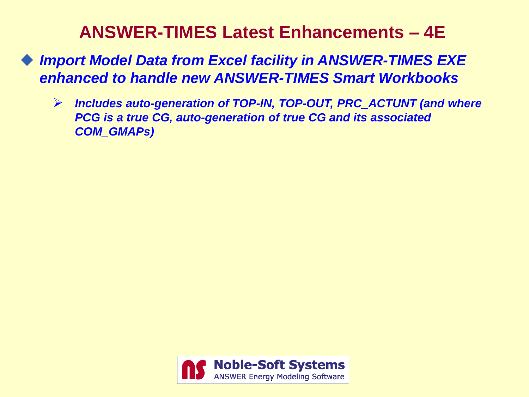## **ANSWER-TIMES Latest Enhancements – 4E**

- ◆ Import Model Data from Excel facility in ANSWER-TIMES EXE *enhanced to handle new ANSWER-TIMES Smart Workbooks*
	- *Includes auto-generation of TOP-IN, TOP-OUT, PRC\_ACTUNT (and where PCG is a true CG, auto-generation of true CG and its associated COM\_GMAPs)*

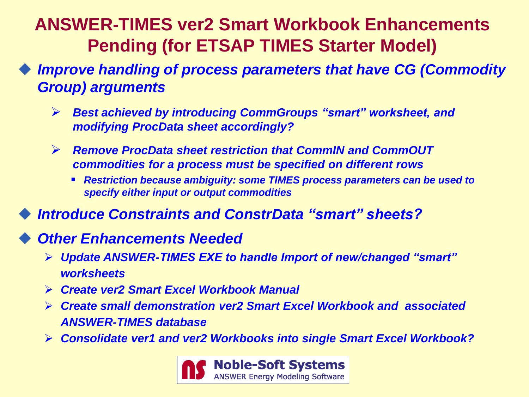# **ANSWER-TIMES ver2 Smart Workbook Enhancements Pending (for ETSAP TIMES Starter Model)**

 *Improve handling of process parameters that have CG (Commodity Group) arguments*

- *Best achieved by introducing CommGroups "smart" worksheet, and modifying ProcData sheet accordingly?*
- *Remove ProcData sheet restriction that CommIN and CommOUT commodities for a process must be specified on different rows*
	- *Restriction because ambiguity: some TIMES process parameters can be used to specify either input or output commodities*
- *Introduce Constraints and ConstrData "smart" sheets?*

### *Other Enhancements Needed*

- *Update ANSWER-TIMES EXE to handle Import of new/changed "smart" worksheets*
- *Create ver2 Smart Excel Workbook Manual*
- *Create small demonstration ver2 Smart Excel Workbook and associated ANSWER-TIMES database*
- *Consolidate ver1 and ver2 Workbooks into single Smart Excel Workbook?*